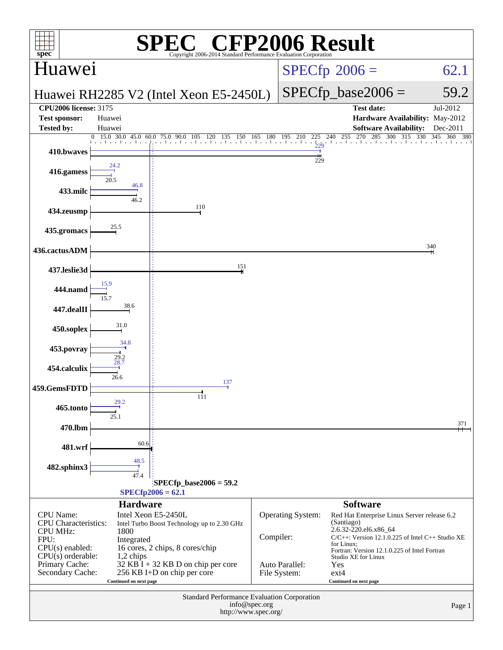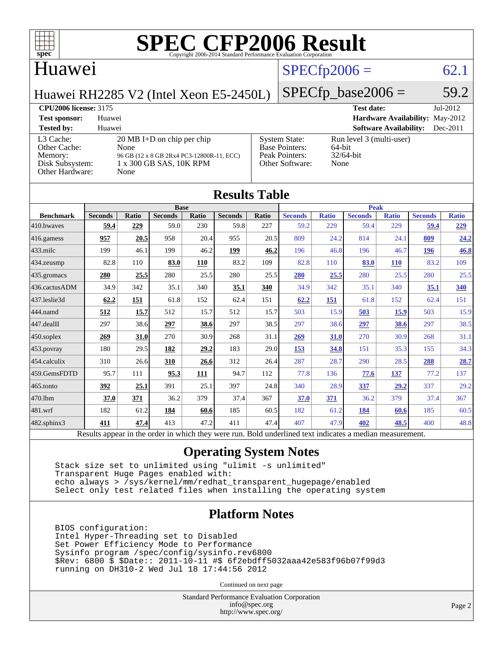

#### Huawei

### $SPECfp2006 = 62.1$  $SPECfp2006 = 62.1$

Huawei RH2285 V2 (Intel Xeon E5-2450L)

## $SPECfp\_base2006 = 59.2$

#### **[CPU2006 license:](http://www.spec.org/auto/cpu2006/Docs/result-fields.html#CPU2006license)** 3175 **[Test date:](http://www.spec.org/auto/cpu2006/Docs/result-fields.html#Testdate)** Jul-2012

| <b>Test sponsor:</b>                                                       | Huawei                                                                                                                       |                                                                                    | <b>Hardware Availability: May-2012</b>                     |            |
|----------------------------------------------------------------------------|------------------------------------------------------------------------------------------------------------------------------|------------------------------------------------------------------------------------|------------------------------------------------------------|------------|
| <b>Tested by:</b>                                                          | Huawei                                                                                                                       |                                                                                    | <b>Software Availability:</b>                              | $Dec-2011$ |
| L3 Cache:<br>Other Cache:<br>Memory:<br>Disk Subsystem:<br>Other Hardware: | $20 \text{ MB I+D}$ on chip per chip<br>None<br>96 GB (12 x 8 GB 2Rx4 PC3-12800R-11, ECC)<br>1 x 300 GB SAS, 10K RPM<br>None | <b>System State:</b><br><b>Base Pointers:</b><br>Peak Pointers:<br>Other Software: | Run level 3 (multi-user)<br>64-bit<br>$32/64$ -bit<br>None |            |

| <b>Results Table</b>                                                                                     |                |       |                |       |                |              |                |              |                |              |                |              |
|----------------------------------------------------------------------------------------------------------|----------------|-------|----------------|-------|----------------|--------------|----------------|--------------|----------------|--------------|----------------|--------------|
|                                                                                                          | <b>Base</b>    |       |                |       | <b>Peak</b>    |              |                |              |                |              |                |              |
| <b>Benchmark</b>                                                                                         | <b>Seconds</b> | Ratio | <b>Seconds</b> | Ratio | <b>Seconds</b> | <b>Ratio</b> | <b>Seconds</b> | <b>Ratio</b> | <b>Seconds</b> | <b>Ratio</b> | <b>Seconds</b> | <b>Ratio</b> |
| 410.bwayes                                                                                               | 59.4           | 229   | 59.0           | 230   | 59.8           | 227          | 59.2           | 229          | 59.4           | 229          | 59.4           | 229          |
| 416.gamess                                                                                               | 957            | 20.5  | 958            | 20.4  | 955            | 20.5         | 809            | 24.2         | 814            | 24.1         | 809            | 24.2         |
| $433$ .milc                                                                                              | 199            | 46.1  | 199            | 46.2  | 199            | 46.2         | 196            | 46.8         | 196            | 46.7         | 196            | 46.8         |
| 434.zeusmp                                                                                               | 82.8           | 110   | 83.0           | 110   | 83.2           | 109          | 82.8           | 110          | 83.0           | <b>110</b>   | 83.2           | 109          |
| 435.gromacs                                                                                              | 280            | 25.5  | 280            | 25.5  | 280            | 25.5         | 280            | 25.5         | 280            | 25.5         | 280            | 25.5         |
| 436.cactusADM                                                                                            | 34.9           | 342   | 35.1           | 340   | 35.1           | 340          | 34.9           | 342          | 35.1           | 340          | 35.1           | 340          |
| 437.leslie3d                                                                                             | 62.2           | 151   | 61.8           | 152   | 62.4           | 151          | 62.2           | 151          | 61.8           | 152          | 62.4           | 151          |
| 444.namd                                                                                                 | 512            | 15.7  | 512            | 15.7  | 512            | 15.7         | 503            | 15.9         | 503            | <b>15.9</b>  | 503            | 15.9         |
| 447.dealII                                                                                               | 297            | 38.6  | 297            | 38.6  | 297            | 38.5         | 297            | 38.6         | 297            | 38.6         | 297            | 38.5         |
| 450.soplex                                                                                               | 269            | 31.0  | 270            | 30.9  | 268            | 31.1         | 269            | 31.0         | 270            | 30.9         | 268            | 31.1         |
| 453.povray                                                                                               | 180            | 29.5  | 182            | 29.2  | 183            | 29.0         | 153            | 34.8         | 151            | 35.3         | 155            | 34.3         |
| 454.calculix                                                                                             | 310            | 26.6  | 310            | 26.6  | 312            | 26.4         | 287            | 28.7         | 290            | 28.5         | 288            | 28.7         |
| 459.GemsFDTD                                                                                             | 95.7           | 111   | 95.3           | 111   | 94.7           | 112          | 77.8           | 136          | 77.6           | 137          | 77.2           | 137          |
| 465.tonto                                                                                                | 392            | 25.1  | 391            | 25.1  | 397            | 24.8         | 340            | 28.9         | 337            | 29.2         | 337            | 29.2         |
| 470.1bm                                                                                                  | 37.0           | 371   | 36.2           | 379   | 37.4           | 367          | 37.0           | 371          | 36.2           | 379          | 37.4           | 367          |
| 481.wrf                                                                                                  | 182            | 61.2  | 184            | 60.6  | 185            | 60.5         | 182            | 61.2         | 184            | 60.6         | 185            | 60.5         |
| 482.sphinx3                                                                                              | 411            | 47.4  | 413            | 47.2  | 411            | 47.4         | 407            | 47.9         | 402            | 48.5         | 400            | 48.8         |
| Results appear in the order in which they were run. Bold underlined text indicates a median measurement. |                |       |                |       |                |              |                |              |                |              |                |              |

#### **[Operating System Notes](http://www.spec.org/auto/cpu2006/Docs/result-fields.html#OperatingSystemNotes)**

 Stack size set to unlimited using "ulimit -s unlimited" Transparent Huge Pages enabled with: echo always > /sys/kernel/mm/redhat\_transparent\_hugepage/enabled Select only test related files when installing the operating system

#### **[Platform Notes](http://www.spec.org/auto/cpu2006/Docs/result-fields.html#PlatformNotes)**

 BIOS configuration: Intel Hyper-Threading set to Disabled Set Power Efficiency Mode to Performance Sysinfo program /spec/config/sysinfo.rev6800 \$Rev: 6800 \$ \$Date:: 2011-10-11 #\$ 6f2ebdff5032aaa42e583f96b07f99d3 running on DH310-2 Wed Jul 18 17:44:56 2012

Continued on next page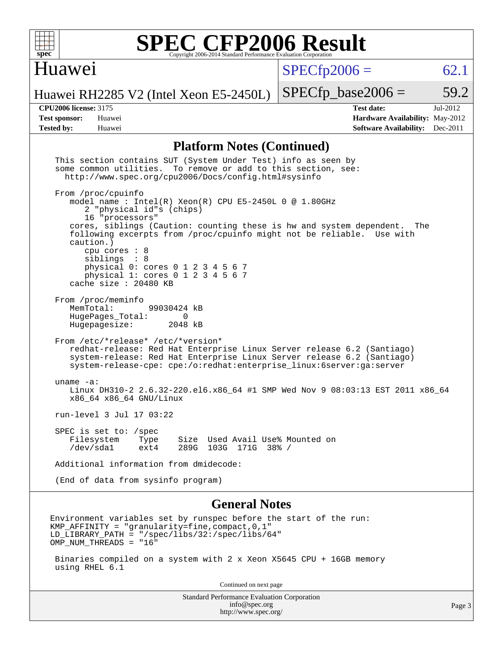

#### Huawei

 $SPECfp2006 = 62.1$  $SPECfp2006 = 62.1$ 

Huawei RH2285 V2 (Intel Xeon E5-2450L)

**[CPU2006 license:](http://www.spec.org/auto/cpu2006/Docs/result-fields.html#CPU2006license)** 3175 **[Test date:](http://www.spec.org/auto/cpu2006/Docs/result-fields.html#Testdate)** Jul-2012 **[Test sponsor:](http://www.spec.org/auto/cpu2006/Docs/result-fields.html#Testsponsor)** Huawei **[Hardware Availability:](http://www.spec.org/auto/cpu2006/Docs/result-fields.html#HardwareAvailability)** May-2012 **[Tested by:](http://www.spec.org/auto/cpu2006/Docs/result-fields.html#Testedby)** Huawei **[Software Availability:](http://www.spec.org/auto/cpu2006/Docs/result-fields.html#SoftwareAvailability)** Dec-2011

 $SPECTp\_base2006 = 59.2$ 

#### **[Platform Notes \(Continued\)](http://www.spec.org/auto/cpu2006/Docs/result-fields.html#PlatformNotes)**

| http://www.spec.org/                                                                                                                                                                                                                                                                              |        |
|---------------------------------------------------------------------------------------------------------------------------------------------------------------------------------------------------------------------------------------------------------------------------------------------------|--------|
| Standard Performance Evaluation Corporation<br>info@spec.org                                                                                                                                                                                                                                      | Page 3 |
| Continued on next page                                                                                                                                                                                                                                                                            |        |
| Binaries compiled on a system with 2 x Xeon X5645 CPU + 16GB memory<br>using RHEL 6.1                                                                                                                                                                                                             |        |
| Environment variables set by runspec before the start of the run:<br>KMP_AFFINITY = "granularity=fine, compact, 0, 1"<br>LD LIBRARY PATH = $\sqrt{spec/libs/32}/spec/libs/64$<br>OMP NUM THREADS = "16"                                                                                           |        |
| <b>General Notes</b>                                                                                                                                                                                                                                                                              |        |
| (End of data from sysinfo program)                                                                                                                                                                                                                                                                |        |
| Additional information from dmidecode:                                                                                                                                                                                                                                                            |        |
| SPEC is set to: /spec<br>Filesystem<br>Type<br>Size Used Avail Use% Mounted on<br>/dev/sda1<br>289G 103G 171G 38% /<br>ext4                                                                                                                                                                       |        |
| run-level 3 Jul 17 03:22                                                                                                                                                                                                                                                                          |        |
| uname $-a$ :<br>Linux DH310-2 2.6.32-220.el6.x86 64 #1 SMP Wed Nov 9 08:03:13 EST 2011 x86 64<br>x86_64 x86_64 GNU/Linux                                                                                                                                                                          |        |
| From /etc/*release* /etc/*version*<br>redhat-release: Red Hat Enterprise Linux Server release 6.2 (Santiago)<br>system-release: Red Hat Enterprise Linux Server release 6.2 (Santiago)<br>system-release-cpe: cpe:/o:redhat:enterprise linux:6server:qa:server                                    |        |
| From /proc/meminfo<br>MemTotal:<br>99030424 kB<br>HugePages_Total:<br>$\overline{0}$<br>Hugepagesize:<br>2048 kB                                                                                                                                                                                  |        |
| cpu cores : 8<br>siblings : 8<br>physical 0: cores 0 1 2 3 4 5 6 7<br>physical 1: cores 0 1 2 3 4 5 6 7<br>cache size : 20480 KB                                                                                                                                                                  |        |
| From /proc/cpuinfo<br>model name: $Intel(R)$ Xeon(R) CPU E5-2450L 0 @ 1.80GHz<br>2 "physical id"s (chips)<br>16 "processors"<br>cores, siblings (Caution: counting these is hw and system dependent.<br>The<br>following excerpts from /proc/cpuinfo might not be reliable. Use with<br>caution.) |        |
| This section contains SUT (System Under Test) info as seen by<br>some common utilities. To remove or add to this section, see:<br>http://www.spec.org/cpu2006/Docs/config.html#sysinfo                                                                                                            |        |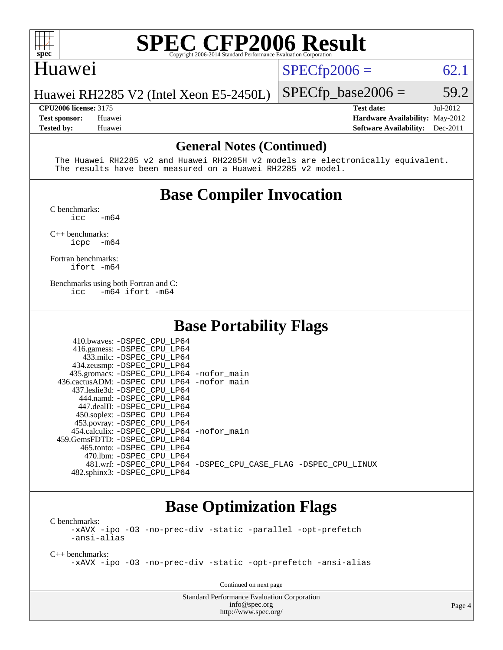

#### Huawei

 $SPECfp2006 = 62.1$  $SPECfp2006 = 62.1$ 

Huawei RH2285 V2 (Intel Xeon E5-2450L)

**[CPU2006 license:](http://www.spec.org/auto/cpu2006/Docs/result-fields.html#CPU2006license)** 3175 **[Test date:](http://www.spec.org/auto/cpu2006/Docs/result-fields.html#Testdate)** Jul-2012 **[Test sponsor:](http://www.spec.org/auto/cpu2006/Docs/result-fields.html#Testsponsor)** Huawei **[Hardware Availability:](http://www.spec.org/auto/cpu2006/Docs/result-fields.html#HardwareAvailability)** May-2012 **[Tested by:](http://www.spec.org/auto/cpu2006/Docs/result-fields.html#Testedby)** Huawei **[Software Availability:](http://www.spec.org/auto/cpu2006/Docs/result-fields.html#SoftwareAvailability)** Dec-2011

 $SPECTp\_base2006 = 59.2$ 

#### **[General Notes \(Continued\)](http://www.spec.org/auto/cpu2006/Docs/result-fields.html#GeneralNotes)**

 The Huawei RH2285 v2 and Huawei RH2285H v2 models are electronically equivalent. The results have been measured on a Huawei RH2285 v2 model.

### **[Base Compiler Invocation](http://www.spec.org/auto/cpu2006/Docs/result-fields.html#BaseCompilerInvocation)**

[C benchmarks](http://www.spec.org/auto/cpu2006/Docs/result-fields.html#Cbenchmarks):  $\frac{1}{2}$ cc  $-\text{m64}$ 

[C++ benchmarks:](http://www.spec.org/auto/cpu2006/Docs/result-fields.html#CXXbenchmarks)

[icpc -m64](http://www.spec.org/cpu2006/results/res2012q3/cpu2006-20120723-23808.flags.html#user_CXXbase_intel_icpc_64bit_bedb90c1146cab66620883ef4f41a67e)

[Fortran benchmarks](http://www.spec.org/auto/cpu2006/Docs/result-fields.html#Fortranbenchmarks): [ifort -m64](http://www.spec.org/cpu2006/results/res2012q3/cpu2006-20120723-23808.flags.html#user_FCbase_intel_ifort_64bit_ee9d0fb25645d0210d97eb0527dcc06e)

[Benchmarks using both Fortran and C](http://www.spec.org/auto/cpu2006/Docs/result-fields.html#BenchmarksusingbothFortranandC): [icc -m64](http://www.spec.org/cpu2006/results/res2012q3/cpu2006-20120723-23808.flags.html#user_CC_FCbase_intel_icc_64bit_0b7121f5ab7cfabee23d88897260401c) [ifort -m64](http://www.spec.org/cpu2006/results/res2012q3/cpu2006-20120723-23808.flags.html#user_CC_FCbase_intel_ifort_64bit_ee9d0fb25645d0210d97eb0527dcc06e)

#### **[Base Portability Flags](http://www.spec.org/auto/cpu2006/Docs/result-fields.html#BasePortabilityFlags)**

| 410.bwaves: -DSPEC CPU LP64                 |                                                                |
|---------------------------------------------|----------------------------------------------------------------|
| 416.gamess: -DSPEC_CPU_LP64                 |                                                                |
| 433.milc: -DSPEC CPU LP64                   |                                                                |
| 434.zeusmp: -DSPEC_CPU_LP64                 |                                                                |
| 435.gromacs: -DSPEC_CPU_LP64 -nofor_main    |                                                                |
| 436.cactusADM: -DSPEC_CPU_LP64 -nofor main  |                                                                |
| 437.leslie3d: -DSPEC CPU LP64               |                                                                |
| 444.namd: -DSPEC CPU LP64                   |                                                                |
| 447.dealII: -DSPEC CPU LP64                 |                                                                |
| 450.soplex: -DSPEC CPU LP64                 |                                                                |
| 453.povray: -DSPEC_CPU_LP64                 |                                                                |
| 454.calculix: - DSPEC CPU LP64 - nofor main |                                                                |
| 459. GemsFDTD: - DSPEC CPU LP64             |                                                                |
| 465.tonto: - DSPEC CPU LP64                 |                                                                |
| 470.1bm: - DSPEC CPU LP64                   |                                                                |
|                                             | 481.wrf: -DSPEC CPU_LP64 -DSPEC_CPU_CASE_FLAG -DSPEC_CPU_LINUX |
| 482.sphinx3: -DSPEC_CPU_LP64                |                                                                |

#### **[Base Optimization Flags](http://www.spec.org/auto/cpu2006/Docs/result-fields.html#BaseOptimizationFlags)**

[C benchmarks](http://www.spec.org/auto/cpu2006/Docs/result-fields.html#Cbenchmarks): [-xAVX](http://www.spec.org/cpu2006/results/res2012q3/cpu2006-20120723-23808.flags.html#user_CCbase_f-xAVX) [-ipo](http://www.spec.org/cpu2006/results/res2012q3/cpu2006-20120723-23808.flags.html#user_CCbase_f-ipo) [-O3](http://www.spec.org/cpu2006/results/res2012q3/cpu2006-20120723-23808.flags.html#user_CCbase_f-O3) [-no-prec-div](http://www.spec.org/cpu2006/results/res2012q3/cpu2006-20120723-23808.flags.html#user_CCbase_f-no-prec-div) [-static](http://www.spec.org/cpu2006/results/res2012q3/cpu2006-20120723-23808.flags.html#user_CCbase_f-static) [-parallel](http://www.spec.org/cpu2006/results/res2012q3/cpu2006-20120723-23808.flags.html#user_CCbase_f-parallel) [-opt-prefetch](http://www.spec.org/cpu2006/results/res2012q3/cpu2006-20120723-23808.flags.html#user_CCbase_f-opt-prefetch) [-ansi-alias](http://www.spec.org/cpu2006/results/res2012q3/cpu2006-20120723-23808.flags.html#user_CCbase_f-ansi-alias)

[C++ benchmarks:](http://www.spec.org/auto/cpu2006/Docs/result-fields.html#CXXbenchmarks) [-xAVX](http://www.spec.org/cpu2006/results/res2012q3/cpu2006-20120723-23808.flags.html#user_CXXbase_f-xAVX) [-ipo](http://www.spec.org/cpu2006/results/res2012q3/cpu2006-20120723-23808.flags.html#user_CXXbase_f-ipo) [-O3](http://www.spec.org/cpu2006/results/res2012q3/cpu2006-20120723-23808.flags.html#user_CXXbase_f-O3) [-no-prec-div](http://www.spec.org/cpu2006/results/res2012q3/cpu2006-20120723-23808.flags.html#user_CXXbase_f-no-prec-div) [-static](http://www.spec.org/cpu2006/results/res2012q3/cpu2006-20120723-23808.flags.html#user_CXXbase_f-static) [-opt-prefetch](http://www.spec.org/cpu2006/results/res2012q3/cpu2006-20120723-23808.flags.html#user_CXXbase_f-opt-prefetch) [-ansi-alias](http://www.spec.org/cpu2006/results/res2012q3/cpu2006-20120723-23808.flags.html#user_CXXbase_f-ansi-alias)

Continued on next page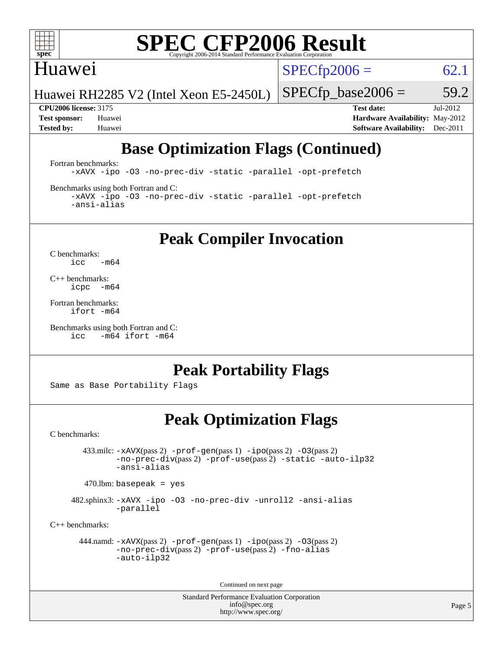

#### Huawei

 $SPECTp2006 = 62.1$ 

Huawei RH2285 V2 (Intel Xeon E5-2450L)

 $SPECfp\_base2006 = 59.2$ 

**[CPU2006 license:](http://www.spec.org/auto/cpu2006/Docs/result-fields.html#CPU2006license)** 3175 **[Test date:](http://www.spec.org/auto/cpu2006/Docs/result-fields.html#Testdate)** Jul-2012 **[Test sponsor:](http://www.spec.org/auto/cpu2006/Docs/result-fields.html#Testsponsor)** Huawei **[Hardware Availability:](http://www.spec.org/auto/cpu2006/Docs/result-fields.html#HardwareAvailability)** May-2012 **[Tested by:](http://www.spec.org/auto/cpu2006/Docs/result-fields.html#Testedby)** Huawei **[Software Availability:](http://www.spec.org/auto/cpu2006/Docs/result-fields.html#SoftwareAvailability)** Dec-2011

### **[Base Optimization Flags \(Continued\)](http://www.spec.org/auto/cpu2006/Docs/result-fields.html#BaseOptimizationFlags)**

[Fortran benchmarks](http://www.spec.org/auto/cpu2006/Docs/result-fields.html#Fortranbenchmarks):

[-xAVX](http://www.spec.org/cpu2006/results/res2012q3/cpu2006-20120723-23808.flags.html#user_FCbase_f-xAVX) [-ipo](http://www.spec.org/cpu2006/results/res2012q3/cpu2006-20120723-23808.flags.html#user_FCbase_f-ipo) [-O3](http://www.spec.org/cpu2006/results/res2012q3/cpu2006-20120723-23808.flags.html#user_FCbase_f-O3) [-no-prec-div](http://www.spec.org/cpu2006/results/res2012q3/cpu2006-20120723-23808.flags.html#user_FCbase_f-no-prec-div) [-static](http://www.spec.org/cpu2006/results/res2012q3/cpu2006-20120723-23808.flags.html#user_FCbase_f-static) [-parallel](http://www.spec.org/cpu2006/results/res2012q3/cpu2006-20120723-23808.flags.html#user_FCbase_f-parallel) [-opt-prefetch](http://www.spec.org/cpu2006/results/res2012q3/cpu2006-20120723-23808.flags.html#user_FCbase_f-opt-prefetch)

[Benchmarks using both Fortran and C](http://www.spec.org/auto/cpu2006/Docs/result-fields.html#BenchmarksusingbothFortranandC):

[-xAVX](http://www.spec.org/cpu2006/results/res2012q3/cpu2006-20120723-23808.flags.html#user_CC_FCbase_f-xAVX) [-ipo](http://www.spec.org/cpu2006/results/res2012q3/cpu2006-20120723-23808.flags.html#user_CC_FCbase_f-ipo) [-O3](http://www.spec.org/cpu2006/results/res2012q3/cpu2006-20120723-23808.flags.html#user_CC_FCbase_f-O3) [-no-prec-div](http://www.spec.org/cpu2006/results/res2012q3/cpu2006-20120723-23808.flags.html#user_CC_FCbase_f-no-prec-div) [-static](http://www.spec.org/cpu2006/results/res2012q3/cpu2006-20120723-23808.flags.html#user_CC_FCbase_f-static) [-parallel](http://www.spec.org/cpu2006/results/res2012q3/cpu2006-20120723-23808.flags.html#user_CC_FCbase_f-parallel) [-opt-prefetch](http://www.spec.org/cpu2006/results/res2012q3/cpu2006-20120723-23808.flags.html#user_CC_FCbase_f-opt-prefetch) [-ansi-alias](http://www.spec.org/cpu2006/results/res2012q3/cpu2006-20120723-23808.flags.html#user_CC_FCbase_f-ansi-alias)

**[Peak Compiler Invocation](http://www.spec.org/auto/cpu2006/Docs/result-fields.html#PeakCompilerInvocation)**

[C benchmarks](http://www.spec.org/auto/cpu2006/Docs/result-fields.html#Cbenchmarks):  $\text{icc}$  -m64

[C++ benchmarks:](http://www.spec.org/auto/cpu2006/Docs/result-fields.html#CXXbenchmarks) [icpc -m64](http://www.spec.org/cpu2006/results/res2012q3/cpu2006-20120723-23808.flags.html#user_CXXpeak_intel_icpc_64bit_bedb90c1146cab66620883ef4f41a67e)

[Fortran benchmarks](http://www.spec.org/auto/cpu2006/Docs/result-fields.html#Fortranbenchmarks): [ifort -m64](http://www.spec.org/cpu2006/results/res2012q3/cpu2006-20120723-23808.flags.html#user_FCpeak_intel_ifort_64bit_ee9d0fb25645d0210d97eb0527dcc06e)

[Benchmarks using both Fortran and C](http://www.spec.org/auto/cpu2006/Docs/result-fields.html#BenchmarksusingbothFortranandC): [icc -m64](http://www.spec.org/cpu2006/results/res2012q3/cpu2006-20120723-23808.flags.html#user_CC_FCpeak_intel_icc_64bit_0b7121f5ab7cfabee23d88897260401c) [ifort -m64](http://www.spec.org/cpu2006/results/res2012q3/cpu2006-20120723-23808.flags.html#user_CC_FCpeak_intel_ifort_64bit_ee9d0fb25645d0210d97eb0527dcc06e)

#### **[Peak Portability Flags](http://www.spec.org/auto/cpu2006/Docs/result-fields.html#PeakPortabilityFlags)**

Same as Base Portability Flags

#### **[Peak Optimization Flags](http://www.spec.org/auto/cpu2006/Docs/result-fields.html#PeakOptimizationFlags)**

[C benchmarks](http://www.spec.org/auto/cpu2006/Docs/result-fields.html#Cbenchmarks):

 433.milc: [-xAVX](http://www.spec.org/cpu2006/results/res2012q3/cpu2006-20120723-23808.flags.html#user_peakPASS2_CFLAGSPASS2_LDFLAGS433_milc_f-xAVX)(pass 2) [-prof-gen](http://www.spec.org/cpu2006/results/res2012q3/cpu2006-20120723-23808.flags.html#user_peakPASS1_CFLAGSPASS1_LDFLAGS433_milc_prof_gen_e43856698f6ca7b7e442dfd80e94a8fc)(pass 1) [-ipo](http://www.spec.org/cpu2006/results/res2012q3/cpu2006-20120723-23808.flags.html#user_peakPASS2_CFLAGSPASS2_LDFLAGS433_milc_f-ipo)(pass 2) [-O3](http://www.spec.org/cpu2006/results/res2012q3/cpu2006-20120723-23808.flags.html#user_peakPASS2_CFLAGSPASS2_LDFLAGS433_milc_f-O3)(pass 2) [-no-prec-div](http://www.spec.org/cpu2006/results/res2012q3/cpu2006-20120723-23808.flags.html#user_peakPASS2_CFLAGSPASS2_LDFLAGS433_milc_f-no-prec-div)(pass 2) [-prof-use](http://www.spec.org/cpu2006/results/res2012q3/cpu2006-20120723-23808.flags.html#user_peakPASS2_CFLAGSPASS2_LDFLAGS433_milc_prof_use_bccf7792157ff70d64e32fe3e1250b55)(pass 2) [-static](http://www.spec.org/cpu2006/results/res2012q3/cpu2006-20120723-23808.flags.html#user_peakOPTIMIZE433_milc_f-static) [-auto-ilp32](http://www.spec.org/cpu2006/results/res2012q3/cpu2006-20120723-23808.flags.html#user_peakCOPTIMIZE433_milc_f-auto-ilp32) [-ansi-alias](http://www.spec.org/cpu2006/results/res2012q3/cpu2006-20120723-23808.flags.html#user_peakCOPTIMIZE433_milc_f-ansi-alias)

 $470.$ lbm: basepeak = yes

 482.sphinx3: [-xAVX](http://www.spec.org/cpu2006/results/res2012q3/cpu2006-20120723-23808.flags.html#user_peakOPTIMIZE482_sphinx3_f-xAVX) [-ipo](http://www.spec.org/cpu2006/results/res2012q3/cpu2006-20120723-23808.flags.html#user_peakOPTIMIZE482_sphinx3_f-ipo) [-O3](http://www.spec.org/cpu2006/results/res2012q3/cpu2006-20120723-23808.flags.html#user_peakOPTIMIZE482_sphinx3_f-O3) [-no-prec-div](http://www.spec.org/cpu2006/results/res2012q3/cpu2006-20120723-23808.flags.html#user_peakOPTIMIZE482_sphinx3_f-no-prec-div) [-unroll2](http://www.spec.org/cpu2006/results/res2012q3/cpu2006-20120723-23808.flags.html#user_peakCOPTIMIZE482_sphinx3_f-unroll_784dae83bebfb236979b41d2422d7ec2) [-ansi-alias](http://www.spec.org/cpu2006/results/res2012q3/cpu2006-20120723-23808.flags.html#user_peakCOPTIMIZE482_sphinx3_f-ansi-alias) [-parallel](http://www.spec.org/cpu2006/results/res2012q3/cpu2006-20120723-23808.flags.html#user_peakCOPTIMIZE482_sphinx3_f-parallel)

[C++ benchmarks:](http://www.spec.org/auto/cpu2006/Docs/result-fields.html#CXXbenchmarks)

```
 444.namd: -xAVX(pass 2) -prof-gen(pass 1) -ipo(pass 2) -O3(pass 2)
         -no-prec-div(pass 2) -prof-use(pass 2) -fno-alias
         -auto-ilp32
```
Continued on next page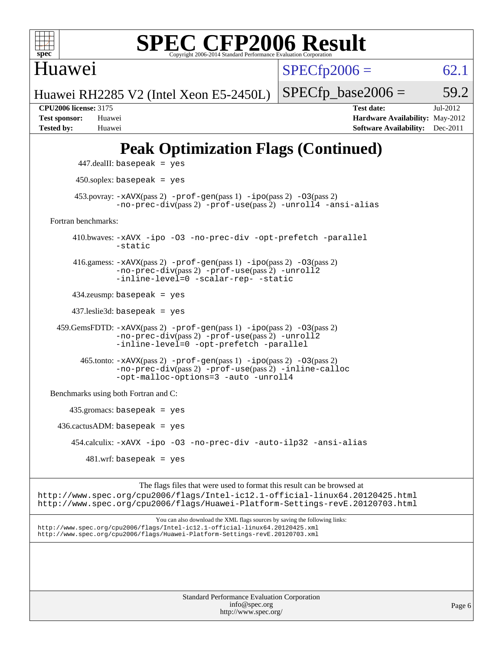

Huawei

 $SPECfp2006 = 62.1$  $SPECfp2006 = 62.1$ 

Huawei RH2285 V2 (Intel Xeon E5-2450L)

 $SPECTp\_base2006 = 59.2$ **[CPU2006 license:](http://www.spec.org/auto/cpu2006/Docs/result-fields.html#CPU2006license)** 3175 **[Test date:](http://www.spec.org/auto/cpu2006/Docs/result-fields.html#Testdate)** Jul-2012 **[Test sponsor:](http://www.spec.org/auto/cpu2006/Docs/result-fields.html#Testsponsor)** Huawei **[Hardware Availability:](http://www.spec.org/auto/cpu2006/Docs/result-fields.html#HardwareAvailability)** May-2012

## **[Peak Optimization Flags \(Continued\)](http://www.spec.org/auto/cpu2006/Docs/result-fields.html#PeakOptimizationFlags)**

**[Tested by:](http://www.spec.org/auto/cpu2006/Docs/result-fields.html#Testedby)** Huawei **[Software Availability:](http://www.spec.org/auto/cpu2006/Docs/result-fields.html#SoftwareAvailability)** Dec-2011

```
 447.dealII: basepeak = yes
          450.soplex: basepeak = yes
        453.povray: -xAVX(pass 2) -prof-gen(pass 1) -ipo(pass 2) -03(pass 2)
                  -no-prec-div(pass 2) -prof-use(pass 2) -unroll4 -ansi-alias
   Fortran benchmarks: 
         410.bwaves: -xAVX -ipo -O3 -no-prec-div -opt-prefetch -parallel
                  -static
         416.gamess: -xAVX(pass 2) -prof-gen(pass 1) -ipo(pass 2) -O3(pass 2)
                  -no-prec-div(pass 2) -prof-use(pass 2) -unroll2
                  -inline-level=0 -scalar-rep- -static
         434.zeusmp: basepeak = yes
         437.leslie3d: basepeak = yes
     459.GemsFDTD: -xAVX(pass 2) -prof-gen(pass 1) -ipo(pass 2) -O3(pass 2)
                  -no-prec-div(pass 2) -prof-use(pass 2) -unroll2
                  -inline-level=0 -opt-prefetch -parallel
          465.tonto: -xAVX(pass 2) -prof-gen(pass 1) -po(pass 2) -03(pass 2)
                  -no-prec-div(pass 2) -prof-use(pass 2) -inline-calloc
                  -opt-malloc-options=3-auto-unroll4
   Benchmarks using both Fortran and C: 
        435.gromacs: basepeak = yes
    436.cactusADM: basepeak = yes 454.calculix: -xAVX -ipo -O3 -no-prec-div -auto-ilp32 -ansi-alias
           481.wrf: basepeak = yes
                        The flags files that were used to format this result can be browsed at
http://www.spec.org/cpu2006/flags/Intel-ic12.1-official-linux64.20120425.html
http://www.spec.org/cpu2006/flags/Huawei-Platform-Settings-revE.20120703.html
```
You can also download the XML flags sources by saving the following links: <http://www.spec.org/cpu2006/flags/Intel-ic12.1-official-linux64.20120425.xml> <http://www.spec.org/cpu2006/flags/Huawei-Platform-Settings-revE.20120703.xml>